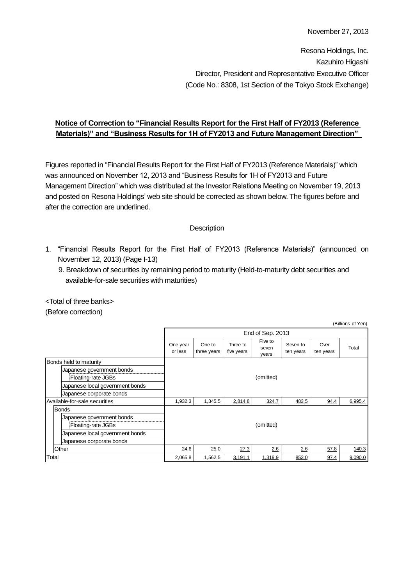Resona Holdings, Inc. Kazuhiro Higashi Director, President and Representative Executive Officer (Code No.: 8308, 1st Section of the Tokyo Stock Exchange)

## **Notice of Correction to "Financial Results Report for the First Half of FY2013 (Reference Materials)" and "Business Results for 1H of FY2013 and Future Management Direction"**

Figures reported in "Financial Results Report for the First Half of FY2013 (Reference Materials)" which was announced on November 12, 2013 and "Business Results for 1H of FY2013 and Future Management Direction" which was distributed at the Investor Relations Meeting on November 19, 2013 and posted on Resona Holdings' web site should be corrected as shown below. The figures before and after the correction are underlined.

### **Description**

- 1. "Financial Results Report for the First Half of FY2013 (Reference Materials)" (announced on November 12, 2013) (Page I-13)
	- 9. Breakdown of securities by remaining period to maturity (Held-to-maturity debt securities and available-for-sale securities with maturities)

<Total of three banks> (Before correction)

|       |                                 |                     |                       |                        |                           |                       |                   | (Billions of Yen) |  |  |
|-------|---------------------------------|---------------------|-----------------------|------------------------|---------------------------|-----------------------|-------------------|-------------------|--|--|
|       |                                 |                     | End of Sep. 2013      |                        |                           |                       |                   |                   |  |  |
|       |                                 | One year<br>or less | One to<br>three years | Three to<br>five years | Five to<br>seven<br>years | Seven to<br>ten years | Over<br>ten years | Total             |  |  |
|       | Bonds held to maturity          |                     |                       |                        |                           |                       |                   |                   |  |  |
|       | Japanese government bonds       |                     |                       |                        |                           |                       |                   |                   |  |  |
|       | Floating-rate JGBs              | (omitted)           |                       |                        |                           |                       |                   |                   |  |  |
|       | Japanese local government bonds |                     |                       |                        |                           |                       |                   |                   |  |  |
|       | Japanese corporate bonds        |                     |                       |                        |                           |                       |                   |                   |  |  |
|       | Available-for-sale securities   | 1,932.3             | 1,345.5               | 2,814.8                | 324.7                     | 483.5                 | 94.4              | 6,995.4           |  |  |
|       | <b>Bonds</b>                    |                     |                       |                        |                           |                       |                   |                   |  |  |
|       | Japanese government bonds       |                     |                       |                        |                           |                       |                   |                   |  |  |
|       | Floating-rate JGBs              |                     | (omitted)             |                        |                           |                       |                   |                   |  |  |
|       | Japanese local government bonds |                     |                       |                        |                           |                       |                   |                   |  |  |
|       | Japanese corporate bonds        |                     |                       |                        |                           |                       |                   |                   |  |  |
|       | Other                           | 24.6                | 25.0                  | 27.3                   | 2.6                       | 26                    | 57.8              | 140.3             |  |  |
| Total |                                 | 2,065.8             | 1,562.5               | 3,191.1                | 1,319.9                   | 853.0                 | 97.4              | 9,090.0           |  |  |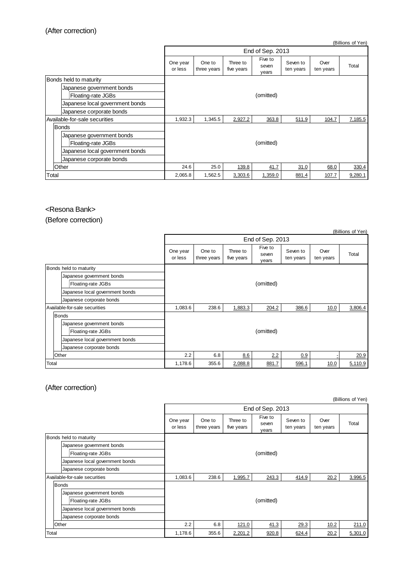(Billions of Yen)

|                               |                                 | End of Sep. 2013    |                       |                        |                           |                       |                   |         |
|-------------------------------|---------------------------------|---------------------|-----------------------|------------------------|---------------------------|-----------------------|-------------------|---------|
|                               |                                 | One year<br>or less | One to<br>three years | Three to<br>five years | Five to<br>seven<br>years | Seven to<br>ten years | Over<br>ten years | Total   |
| Bonds held to maturity        |                                 |                     |                       |                        |                           |                       |                   |         |
|                               | Japanese government bonds       |                     |                       |                        |                           |                       |                   |         |
|                               | Floating-rate JGBs              | (omitted)           |                       |                        |                           |                       |                   |         |
|                               | Japanese local government bonds |                     |                       |                        |                           |                       |                   |         |
|                               | Japanese corporate bonds        |                     |                       |                        |                           |                       |                   |         |
| Available-for-sale securities |                                 | 1,932.3             | 1,345.5               | 2,927.2                | 363.8                     | 511.9                 | 104.7             | 7,185.5 |
|                               | <b>Bonds</b>                    |                     |                       |                        |                           |                       |                   |         |
|                               | Japanese government bonds       |                     |                       |                        |                           |                       |                   |         |
|                               | Floating-rate JGBs              |                     |                       |                        | (omitted)                 |                       |                   |         |
|                               | Japanese local government bonds |                     |                       |                        |                           |                       |                   |         |
|                               | Japanese corporate bonds        |                     |                       |                        |                           |                       |                   |         |
|                               | Other                           | 24.6                | 25.0                  | 139.8                  | 41.7                      | 31.0                  | 68.0              | 330.4   |
| Total                         |                                 | 2,065.8             | 1,562.5               | 3,303.6                | 1,359.0                   | 881.4                 | 107.7             | 9,280.1 |

#### <Resona Bank>

(Before correction)

|       |                                 |                     |                       |                        |                           |                       |                   | (Billions of Yen) |  |
|-------|---------------------------------|---------------------|-----------------------|------------------------|---------------------------|-----------------------|-------------------|-------------------|--|
|       |                                 | End of Sep. 2013    |                       |                        |                           |                       |                   |                   |  |
|       |                                 | One year<br>or less | One to<br>three years | Three to<br>five years | Five to<br>seven<br>years | Seven to<br>ten years | Over<br>ten years | Total             |  |
|       | Bonds held to maturity          |                     |                       |                        |                           |                       |                   |                   |  |
|       | Japanese government bonds       |                     |                       |                        |                           |                       |                   |                   |  |
|       | Floating-rate JGBs              | (omitted)           |                       |                        |                           |                       |                   |                   |  |
|       | Japanese local government bonds |                     |                       |                        |                           |                       |                   |                   |  |
|       | Japanese corporate bonds        |                     |                       |                        |                           |                       |                   |                   |  |
|       | Available-for-sale securities   | 1,083.6             | 238.6                 | 1,883.3                | 204.2                     | 386.6                 | 10.0              | 3,806.4           |  |
|       | <b>Bonds</b>                    |                     |                       |                        |                           |                       |                   |                   |  |
|       | Japanese government bonds       |                     |                       |                        |                           |                       |                   |                   |  |
|       | Floating-rate JGBs              | (omitted)           |                       |                        |                           |                       |                   |                   |  |
|       | Japanese local government bonds |                     |                       |                        |                           |                       |                   |                   |  |
|       | Japanese corporate bonds        |                     |                       |                        |                           |                       |                   |                   |  |
|       | Other                           | 2.2                 | 6.8                   | 8.6                    | 2.2                       | 0.9                   |                   | 20.9              |  |
| Total |                                 | 1,178.6             | 355.6                 | 2,088.8                | 881.7                     | 596.1                 | 10.0              | 5,110.9           |  |

# (After correction)

|                        | (Billions of Yen)               |                     |                       |                        |                           |                       |                   |         |  |
|------------------------|---------------------------------|---------------------|-----------------------|------------------------|---------------------------|-----------------------|-------------------|---------|--|
|                        |                                 |                     | End of Sep. 2013      |                        |                           |                       |                   |         |  |
|                        |                                 | One year<br>or less | One to<br>three years | Three to<br>five years | Five to<br>seven<br>years | Seven to<br>ten years | Over<br>ten years | Total   |  |
| Bonds held to maturity |                                 |                     |                       |                        |                           |                       |                   |         |  |
|                        | Japanese government bonds       |                     |                       |                        |                           |                       |                   |         |  |
|                        | Floating-rate JGBs              |                     |                       |                        | (omitted)                 |                       |                   |         |  |
|                        | Japanese local government bonds |                     |                       |                        |                           |                       |                   |         |  |
|                        | Japanese corporate bonds        |                     |                       |                        |                           |                       |                   |         |  |
|                        | Available-for-sale securities   |                     | 238.6                 | 1,995.7                | 243.3                     | 414.9                 | 20.2              | 3,996.5 |  |
|                        | <b>Bonds</b>                    |                     |                       |                        |                           |                       |                   |         |  |
|                        | Japanese government bonds       |                     |                       |                        |                           |                       |                   |         |  |
|                        | Floating-rate JGBs              |                     |                       |                        | (omitted)                 |                       |                   |         |  |
|                        | Japanese local government bonds |                     |                       |                        |                           |                       |                   |         |  |
|                        | Japanese corporate bonds        |                     |                       |                        |                           |                       |                   |         |  |
|                        | Other                           | 2.2                 | 6.8                   | 121.0                  | 41.3                      | 29.3                  | 10.2              | 211.0   |  |
| Total                  |                                 | 1,178.6             | 355.6                 | 2,201.2                | 920.8                     | 624.4                 | 20.2              | 5,301.0 |  |

(Billions of Yen)